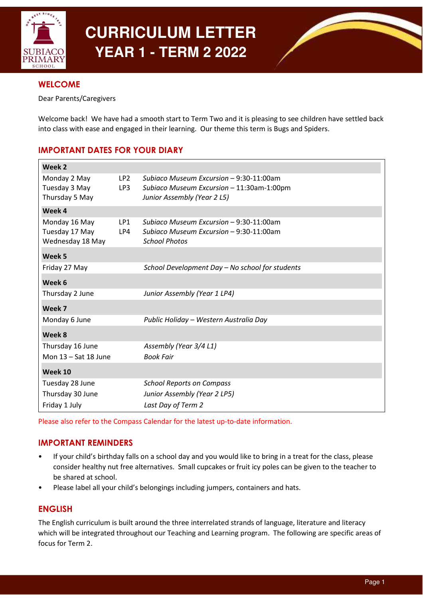

# **CURRICULUM LETTER YEAR 1 - TERM 2 2022**



# **WELCOME**

Dear Parents/Caregivers

Welcome back! We have had a smooth start to Term Two and it is pleasing to see children have settled back into class with ease and engaged in their learning. Our theme this term is Bugs and Spiders.

# IMPORTANT DATES FOR YOUR DIARY

| Week 2                             |                        |                                                                                      |
|------------------------------------|------------------------|--------------------------------------------------------------------------------------|
| Monday 2 May<br>Tuesday 3 May      | LP <sub>2</sub><br>LP3 | Subiaco Museum Excursion – 9:30-11:00am<br>Subiaco Museum Excursion - 11:30am-1:00pm |
| Thursday 5 May                     |                        | Junior Assembly (Year 2 L5)                                                          |
| Week 4                             |                        |                                                                                      |
| Monday 16 May                      | LP1                    | Subiaco Museum Excursion – 9:30-11:00am                                              |
| Tuesday 17 May<br>Wednesday 18 May | LP4                    | Subiaco Museum Excursion - 9:30-11:00am<br><b>School Photos</b>                      |
| Week 5                             |                        |                                                                                      |
| Friday 27 May                      |                        | School Development Day - No school for students                                      |
| Week 6                             |                        |                                                                                      |
| Thursday 2 June                    |                        | Junior Assembly (Year 1 LP4)                                                         |
| Week 7                             |                        |                                                                                      |
| Monday 6 June                      |                        | Public Holiday - Western Australia Day                                               |
| Week 8                             |                        |                                                                                      |
| Thursday 16 June                   |                        | Assembly (Year 3/4 L1)                                                               |
| Mon $13 - Sat$ 18 June             |                        | <b>Book Fair</b>                                                                     |
| Week 10                            |                        |                                                                                      |
| Tuesday 28 June                    |                        | <b>School Reports on Compass</b>                                                     |
| Thursday 30 June                   |                        | Junior Assembly (Year 2 LP5)                                                         |
| Friday 1 July                      |                        | Last Day of Term 2                                                                   |

Please also refer to the Compass Calendar for the latest up-to-date information.

# IMPORTANT REMINDERS

- If your child's birthday falls on a school day and you would like to bring in a treat for the class, please consider healthy nut free alternatives. Small cupcakes or fruit icy poles can be given to the teacher to be shared at school.
- Please label all your child's belongings including jumpers, containers and hats.

# ENGLISH

The English curriculum is built around the three interrelated strands of language, literature and literacy which will be integrated throughout our Teaching and Learning program. The following are specific areas of focus for Term 2.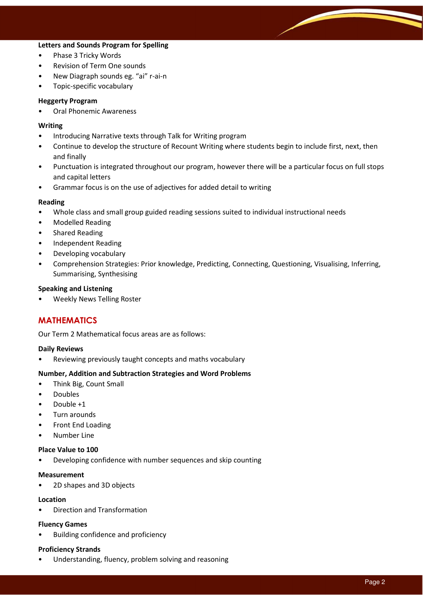## Letters and Sounds Program for Spelling

- Phase 3 Tricky Words
- Revision of Term One sounds
- New Diagraph sounds eg. "ai" r-ai-n
- Topic-specific vocabulary

#### Heggerty Program

• Oral Phonemic Awareness

#### Writing

- Introducing Narrative texts through Talk for Writing program
- Continue to develop the structure of Recount Writing where students begin to include first, next, then and finally
- Punctuation is integrated throughout our program, however there will be a particular focus on full stops and capital letters
- Grammar focus is on the use of adjectives for added detail to writing

#### Reading

- Whole class and small group guided reading sessions suited to individual instructional needs
- Modelled Reading
- Shared Reading
- Independent Reading
- Developing vocabulary
- Comprehension Strategies: Prior knowledge, Predicting, Connecting, Questioning, Visualising, Inferring, Summarising, Synthesising

#### Speaking and Listening

• Weekly News Telling Roster

# MATHEMATICS

Our Term 2 Mathematical focus areas are as follows:

#### Daily Reviews

• Reviewing previously taught concepts and maths vocabulary

## Number, Addition and Subtraction Strategies and Word Problems

- Think Big, Count Small
- Doubles
- Double +1
- Turn arounds
- Front End Loading
- Number Line

#### Place Value to 100

• Developing confidence with number sequences and skip counting

#### Measurement

• 2D shapes and 3D objects

#### Location

• Direction and Transformation

#### Fluency Games

• Building confidence and proficiency

## Proficiency Strands

• Understanding, fluency, problem solving and reasoning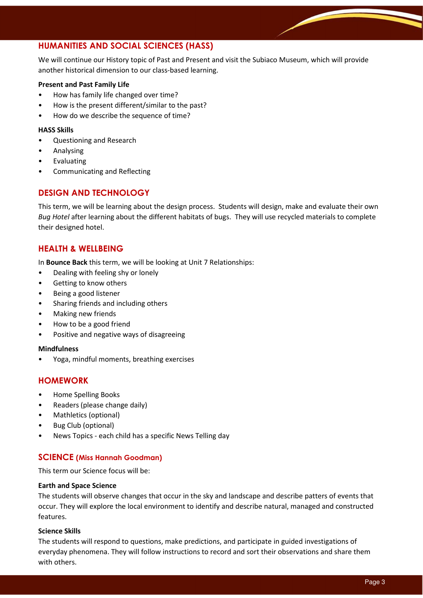# HUMANITIES AND SOCIAL SCIENCES (HASS)

We will continue our History topic of Past and Present and visit the Subiaco Museum, which will provide another historical dimension to our class-based learning.

## Present and Past Family Life

- How has family life changed over time?
- How is the present different/similar to the past?
- How do we describe the sequence of time?

## HASS Skills

- Questioning and Research
- Analysing
- **Evaluating**
- Communicating and Reflecting

# DESIGN AND TECHNOLOGY

This term, we will be learning about the design process. Students will design, make and evaluate their own Bug Hotel after learning about the different habitats of bugs. They will use recycled materials to complete their designed hotel.

# HEALTH & WELLBEING

In Bounce Back this term, we will be looking at Unit 7 Relationships:

- Dealing with feeling shy or lonely
- Getting to know others
- Being a good listener
- Sharing friends and including others
- Making new friends
- How to be a good friend
- Positive and negative ways of disagreeing

## Mindfulness

• Yoga, mindful moments, breathing exercises

# HOMEWORK

- Home Spelling Books
- Readers (please change daily)
- Mathletics (optional)
- Bug Club (optional)
- News Topics each child has a specific News Telling day

# SCIENCE (Miss Hannah Goodman)

This term our Science focus will be:

## Earth and Space Science

The students will observe changes that occur in the sky and landscape and describe patters of events that occur. They will explore the local environment to identify and describe natural, managed and constructed features.

## Science Skills

The students will respond to questions, make predictions, and participate in guided investigations of everyday phenomena. They will follow instructions to record and sort their observations and share them with others.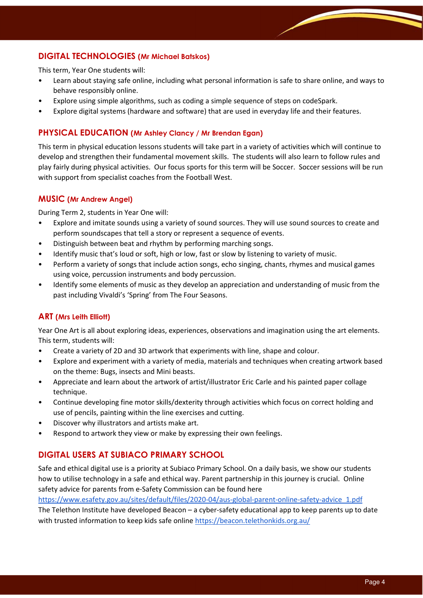# DIGITAL TECHNOLOGIES (Mr Michael Batskos)

This term, Year One students will:

- Learn about staying safe online, including what personal information is safe to share online, and ways to behave responsibly online.
- Explore using simple algorithms, such as coding a simple sequence of steps on codeSpark.
- Explore digital systems (hardware and software) that are used in everyday life and their features.

## PHYSICAL EDUCATION (Mr Ashley Clancy / Mr Brendan Egan)

This term in physical education lessons students will take part in a variety of activities which will continue to develop and strengthen their fundamental movement skills. The students will also learn to follow rules and play fairly during physical activities. Our focus sports for this term will be Soccer. Soccer sessions will be run with support from specialist coaches from the Football West.

## MUSIC (Mr Andrew Angel)

During Term 2, students in Year One will:

- Explore and imitate sounds using a variety of sound sources. They will use sound sources to create and perform soundscapes that tell a story or represent a sequence of events.
- Distinguish between beat and rhythm by performing marching songs.
- Identify music that's loud or soft, high or low, fast or slow by listening to variety of music.
- Perform a variety of songs that include action songs, echo singing, chants, rhymes and musical games using voice, percussion instruments and body percussion.
- Identify some elements of music as they develop an appreciation and understanding of music from the past including Vivaldi's 'Spring' from The Four Seasons.

## ART (Mrs Leith Elliott)

Year One Art is all about exploring ideas, experiences, observations and imagination using the art elements. This term, students will:

- Create a variety of 2D and 3D artwork that experiments with line, shape and colour.
- Explore and experiment with a variety of media, materials and techniques when creating artwork based on the theme: Bugs, insects and Mini beasts.
- Appreciate and learn about the artwork of artist/illustrator Eric Carle and his painted paper collage technique.
- Continue developing fine motor skills/dexterity through activities which focus on correct holding and use of pencils, painting within the line exercises and cutting.
- Discover why illustrators and artists make art.
- Respond to artwork they view or make by expressing their own feelings.

# DIGITAL USERS AT SUBIACO PRIMARY SCHOOL

Safe and ethical digital use is a priority at Subiaco Primary School. On a daily basis, we show our students how to utilise technology in a safe and ethical way. Parent partnership in this journey is crucial. Online safety advice for parents from e-Safety Commission can be found here

https://www.esafety.gov.au/sites/default/files/2020-04/aus-global-parent-online-safety-advice\_1.pdf The Telethon Institute have developed Beacon – a cyber-safety educational app to keep parents up to date with trusted information to keep kids safe online https://beacon.telethonkids.org.au/